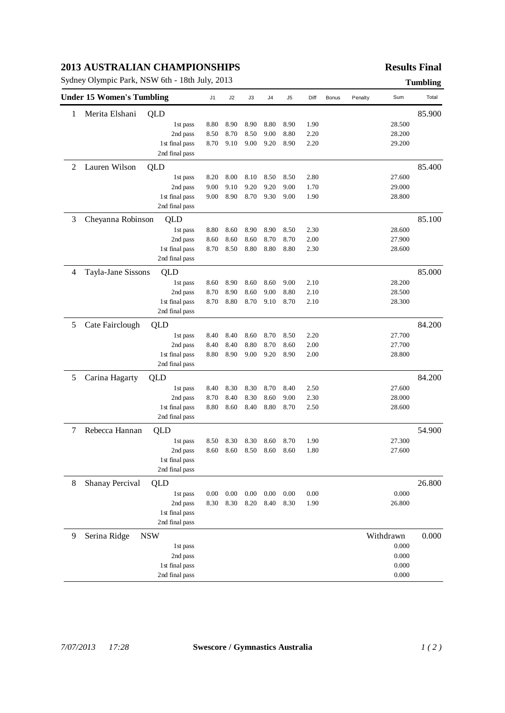### **2013 AUSTRALIAN CHAMPIONSHIPS**

Sydney Olympic Park, NSW 6th - 18th July, 2013 **Tumbling**

## **Results Final**

|                | <b>Under 15 Women's Tumbling</b> |                | J1       | J2       | J3       | J4       | J <sub>5</sub> | Diff | <b>Bonus</b> | Penalty | Sum       | Total  |
|----------------|----------------------------------|----------------|----------|----------|----------|----------|----------------|------|--------------|---------|-----------|--------|
| 1              | Merita Elshani                   | QLD            |          |          |          |          |                |      |              |         |           | 85.900 |
|                |                                  | 1st pass       | 8.80     | 8.90     | 8.90     | 8.80     | 8.90           | 1.90 |              |         | 28.500    |        |
|                |                                  | 2nd pass       | 8.50     | 8.70     | 8.50     | 9.00     | 8.80           | 2.20 |              |         | 28.200    |        |
|                |                                  | 1st final pass | 8.70     | 9.10     | 9.00     | 9.20     | 8.90           | 2.20 |              |         | 29.200    |        |
|                |                                  | 2nd final pass |          |          |          |          |                |      |              |         |           |        |
| $\overline{2}$ | Lauren Wilson                    | QLD            |          |          |          |          |                |      |              |         |           | 85.400 |
|                |                                  | 1st pass       | 8.20     | 8.00     | 8.10     | 8.50     | 8.50           | 2.80 |              |         | 27.600    |        |
|                |                                  | 2nd pass       | 9.00     | 9.10     | 9.20     | 9.20     | 9.00           | 1.70 |              |         | 29.000    |        |
|                |                                  | 1st final pass | 9.00     | 8.90     | 8.70     | 9.30     | 9.00           | 1.90 |              |         | 28.800    |        |
|                |                                  | 2nd final pass |          |          |          |          |                |      |              |         |           |        |
| 3              | Cheyanna Robinson                | QLD            |          |          |          |          |                |      |              |         |           | 85.100 |
|                |                                  | 1st pass       | 8.80     | 8.60     | 8.90     | 8.90     | 8.50           | 2.30 |              |         | 28.600    |        |
|                |                                  | 2nd pass       | 8.60     | 8.60     | 8.60     | 8.70     | 8.70           | 2.00 |              |         | 27.900    |        |
|                |                                  | 1st final pass | 8.70     | 8.50     | 8.80     | 8.80     | 8.80           | 2.30 |              |         | 28.600    |        |
|                |                                  | 2nd final pass |          |          |          |          |                |      |              |         |           |        |
| $\overline{4}$ | Tayla-Jane Sissons               | QLD            |          |          |          |          |                |      |              |         |           | 85.000 |
|                |                                  | 1st pass       | 8.60     | 8.90     | 8.60     | 8.60     | 9.00           | 2.10 |              |         | 28.200    |        |
|                |                                  | 2nd pass       | 8.70     | 8.90     | 8.60     | 9.00     | 8.80           | 2.10 |              |         | 28.500    |        |
|                |                                  | 1st final pass | 8.70     | 8.80     | 8.70     | 9.10     | 8.70           | 2.10 |              |         | 28.300    |        |
|                |                                  | 2nd final pass |          |          |          |          |                |      |              |         |           |        |
| 5              | Cate Fairclough                  | QLD            |          |          |          |          |                |      |              |         |           | 84.200 |
|                |                                  | 1st pass       | 8.40     | 8.40     | 8.60     | 8.70     | 8.50           | 2.20 |              |         | 27.700    |        |
|                |                                  | 2nd pass       | 8.40     | 8.40     | 8.80     | 8.70     | 8.60           | 2.00 |              |         | 27.700    |        |
|                |                                  | 1st final pass | 8.80     | 8.90     | 9.00     | 9.20     | 8.90           | 2.00 |              |         | 28.800    |        |
|                |                                  | 2nd final pass |          |          |          |          |                |      |              |         |           |        |
| 5              | Carina Hagarty                   | QLD            |          |          |          |          |                |      |              |         |           | 84.200 |
|                |                                  | 1st pass       | 8.40     | 8.30     | 8.30     | 8.70     | 8.40           | 2.50 |              |         | 27.600    |        |
|                |                                  | 2nd pass       | 8.70     | 8.40     | 8.30     | 8.60     | 9.00           | 2.30 |              |         | 28.000    |        |
|                |                                  | 1st final pass | 8.80     | 8.60     | 8.40     | 8.80     | 8.70           | 2.50 |              |         | 28.600    |        |
|                |                                  | 2nd final pass |          |          |          |          |                |      |              |         |           |        |
| 7              | Rebecca Hannan                   | QLD            |          |          |          |          |                |      |              |         |           | 54.900 |
|                |                                  | 1st pass       | 8.50     | 8.30     | 8.30     | 8.60     | 8.70           | 1.90 |              |         | 27.300    |        |
|                |                                  | 2nd pass       | 8.60     | 8.60     | 8.50     | 8.60     | 8.60           | 1.80 |              |         | 27.600    |        |
|                |                                  | 1st final pass |          |          |          |          |                |      |              |         |           |        |
|                |                                  | 2nd final pass |          |          |          |          |                |      |              |         |           |        |
| 8              | <b>Shanay Percival</b>           | QLD            |          |          |          |          |                |      |              |         |           | 26.800 |
|                |                                  | 1st pass       | $0.00\,$ | $0.00\,$ | $0.00\,$ | $0.00\,$ | 0.00           | 0.00 |              |         | 0.000     |        |
|                |                                  | 2nd pass       | 8.30     | 8.30     | 8.20     | 8.40     | 8.30           | 1.90 |              |         | 26.800    |        |
|                |                                  | 1st final pass |          |          |          |          |                |      |              |         |           |        |
|                |                                  | 2nd final pass |          |          |          |          |                |      |              |         |           |        |
| 9              | Serina Ridge                     | <b>NSW</b>     |          |          |          |          |                |      |              |         | Withdrawn | 0.000  |
|                |                                  | 1st pass       |          |          |          |          |                |      |              |         | 0.000     |        |
|                |                                  | 2nd pass       |          |          |          |          |                |      |              |         | 0.000     |        |
|                |                                  | 1st final pass |          |          |          |          |                |      |              |         | 0.000     |        |
|                |                                  | 2nd final pass |          |          |          |          |                |      |              |         | 0.000     |        |